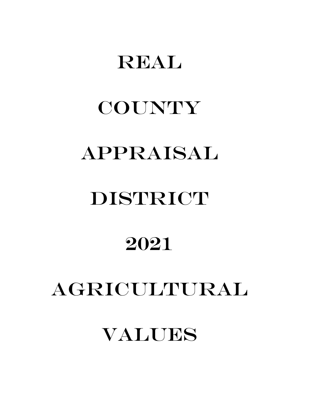# REAL

# **COUNTY** APPRAISAL

# DISTRICT

# 2021

# AGRICULTURAL

# VALUES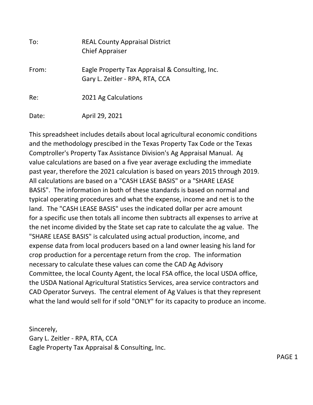| To:   | <b>REAL County Appraisal District</b><br><b>Chief Appraiser</b>                    |
|-------|------------------------------------------------------------------------------------|
| From: | Eagle Property Tax Appraisal & Consulting, Inc.<br>Gary L. Zeitler - RPA, RTA, CCA |
| Re:   | 2021 Ag Calculations                                                               |
| Date: | April 29, 2021                                                                     |

This spreadsheet includes details about local agricultural economic conditions and the methodology prescibed in the Texas Property Tax Code or the Texas Comptroller's Property Tax Assistance Division's Ag Appraisal Manual. Ag value calculations are based on a five year average excluding the immediate past year, therefore the 2021 calculation is based on years 2015 through 2019. All calculations are based on a "CASH LEASE BASIS" or a "SHARE LEASE BASIS". The information in both of these standards is based on normal and typical operating procedures and what the expense, income and net is to the land. The "CASH LEASE BASIS" uses the indicated dollar per acre amount for a specific use then totals all income then subtracts all expenses to arrive at the net income divided by the State set cap rate to calculate the ag value. The "SHARE LEASE BASIS" is calculated using actual production, income, and expense data from local producers based on a land owner leasing his land for crop production for a percentage return from the crop. The information necessary to calculate these values can come the CAD Ag Advisory Committee, the local County Agent, the local FSA office, the local USDA office, the USDA National Agricultural Statistics Services, area service contractors and CAD Operator Surveys. The central element of Ag Values is that they represent what the land would sell for if sold "ONLY" for its capacity to produce an income.

Sincerely, Gary L. Zeitler - RPA, RTA, CCA Eagle Property Tax Appraisal & Consulting, Inc.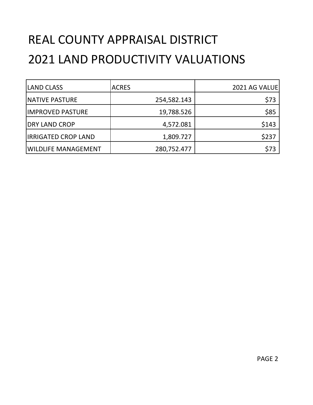# REAL COUNTY APPRAISAL DISTRICT 2021 LAND PRODUCTIVITY VALUATIONS

| <b>LAND CLASS</b>          | <b>ACRES</b> | <b>2021 AG VALUE</b> |
|----------------------------|--------------|----------------------|
| <b>NATIVE PASTURE</b>      | 254,582.143  | \$73                 |
| <b>IMPROVED PASTURE</b>    | 19,788.526   | \$85                 |
| <b>DRY LAND CROP</b>       | 4,572.081    | \$143                |
| <b>IRRIGATED CROP LAND</b> | 1,809.727    | \$237                |
| WILDLIFE MANAGEMENT        | 280,752.477  | \$73                 |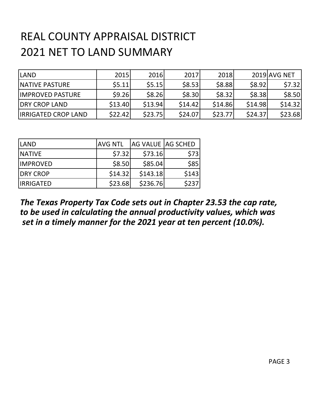## REAL COUNTY APPRAISAL DISTRICT 2021 NET TO LAND SUMMARY

| <b>LAND</b>                | <b>2015</b> | 2016    | 2017    | 2018    |         | 2019 AVG NET |
|----------------------------|-------------|---------|---------|---------|---------|--------------|
| <b>INATIVE PASTURE</b>     | \$5.11      | \$5.15  | \$8.53  | \$8.88  | \$8.92  | \$7.32       |
| <b>IIMPROVED PASTURE</b>   | \$9.26      | \$8.26  | \$8.30  | \$8.32  | \$8.38  | \$8.50       |
| <b>IDRY CROP LAND</b>      | \$13.40     | \$13.94 | \$14.42 | \$14.86 | \$14.98 | \$14.32      |
| <b>IRRIGATED CROP LAND</b> | \$22.42     | \$23.75 | \$24.07 | \$23.77 | \$24.37 | \$23.68      |

| <b>LAND</b>      | <b>AVG NTL</b> | <b>AG VALUE AG SCHED</b> |       |
|------------------|----------------|--------------------------|-------|
| <b>INATIVE</b>   | \$7.32         | \$73.16                  | \$73  |
| <b>IMPROVED</b>  | \$8.50         | \$85.04                  | \$85  |
| <b>DRY CROP</b>  | \$14.32        | \$143.18                 | \$143 |
| <b>IRRIGATED</b> | \$23.68        | \$236.76                 | \$237 |

#### *The Texas Property Tax Code sets out in Chapter 23.53 the cap rate, to be used in calculating the annual productivity values, which was set in a timely manner for the 2021 year at ten percent (10.0%).*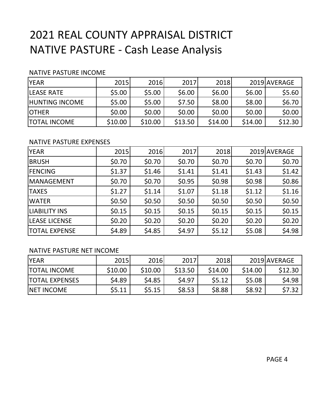## 2021 REAL COUNTY APPRAISAL DISTRICT NATIVE PASTURE - Cash Lease Analysis

#### NATIVE PASTURE INCOME

| <b>YEAR</b>           | 2015    | 2016    | 2017    | 2018    |         | 2019 AVERAGE |
|-----------------------|---------|---------|---------|---------|---------|--------------|
| <b>LEASE RATE</b>     | \$5.00  | \$5.00  | \$6.00  | \$6.00  | \$6.00  | \$5.60       |
| <b>HUNTING INCOME</b> | \$5.00  | \$5.00  | \$7.50  | \$8.00  | \$8.00  | \$6.70       |
| <b>IOTHER</b>         | \$0.00  | \$0.00  | \$0.00  | \$0.00  | \$0.00  | \$0.00       |
| <b>TOTAL INCOME</b>   | \$10.00 | \$10.00 | \$13.50 | \$14.00 | \$14.00 | \$12.30      |

#### NATIVE PASTURE EXPENSES

| <b>YEAR</b>          | 2015   | 2016   | 2017   | 2018   |        | 2019 AVERAGE |
|----------------------|--------|--------|--------|--------|--------|--------------|
| <b>BRUSH</b>         | \$0.70 | \$0.70 | \$0.70 | \$0.70 | \$0.70 | \$0.70       |
| <b>FENCING</b>       | \$1.37 | \$1.46 | \$1.41 | \$1.41 | \$1.43 | \$1.42       |
| <b>MANAGEMENT</b>    | \$0.70 | \$0.70 | \$0.95 | \$0.98 | \$0.98 | \$0.86       |
| <b>TAXES</b>         | \$1.27 | \$1.14 | \$1.07 | \$1.18 | \$1.12 | \$1.16       |
| <b>WATER</b>         | \$0.50 | \$0.50 | \$0.50 | \$0.50 | \$0.50 | \$0.50       |
| <b>LIABILITY INS</b> | \$0.15 | \$0.15 | \$0.15 | \$0.15 | \$0.15 | \$0.15       |
| <b>LEASE LICENSE</b> | \$0.20 | \$0.20 | \$0.20 | \$0.20 | \$0.20 | \$0.20       |
| <b>TOTAL EXPENSE</b> | \$4.89 | \$4.85 | \$4.97 | \$5.12 | \$5.08 | \$4.98       |

#### NATIVE PASTURE NET INCOME

| <b>YEAR</b>           | 2015    | 2016    | 2017    | 2018    |         | 2019 AVERAGE |
|-----------------------|---------|---------|---------|---------|---------|--------------|
| ITOTAL INCOME         | \$10.00 | \$10.00 | \$13.50 | \$14.00 | \$14.00 | \$12.30      |
| <b>TOTAL EXPENSES</b> | \$4.89  | \$4.85  | \$4.97  | \$5.12  | \$5.08  | \$4.98       |
| <b>INET INCOME</b>    | \$5.11  | \$5.15  | \$8.53  | \$8.88  | \$8.92  | \$7.32       |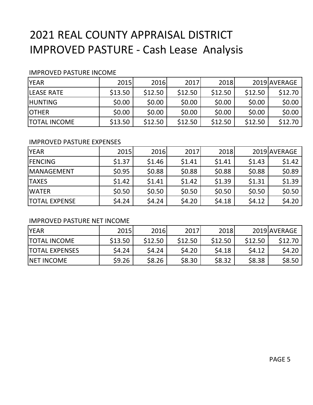### 2021 REAL COUNTY APPRAISAL DISTRICT IMPROVED PASTURE - Cash Lease Analysis

#### IMPROVED PASTURE INCOME

| <b>YEAR</b>         | 2015    | 2016    | 2017    | 2018    |         | 2019 AVERAGE |
|---------------------|---------|---------|---------|---------|---------|--------------|
| <b>ILEASE RATE</b>  | \$13.50 | \$12.50 | \$12.50 | \$12.50 | \$12.50 | \$12.70      |
| <b>HUNTING</b>      | \$0.00  | \$0.00  | \$0.00  | \$0.00  | \$0.00  | \$0.00       |
| <b>IOTHER</b>       | \$0.00  | \$0.00  | \$0.00  | \$0.00  | \$0.00  | \$0.00       |
| <b>TOTAL INCOME</b> | \$13.50 | \$12.50 | \$12.50 | \$12.50 | \$12.50 | \$12.70      |

#### IMPROVED PASTURE EXPENSES

| <b>YEAR</b>          | 2015   | 2016   | 2017   | 2018   |        | 2019 AVERAGE |
|----------------------|--------|--------|--------|--------|--------|--------------|
| <b>IFENCING</b>      | \$1.37 | \$1.46 | \$1.41 | \$1.41 | \$1.43 | \$1.42       |
| <b>IMANAGEMENT</b>   | \$0.95 | \$0.88 | \$0.88 | \$0.88 | \$0.88 | \$0.89       |
| <b>TAXES</b>         | \$1.42 | \$1.41 | \$1.42 | \$1.39 | \$1.31 | \$1.39       |
| <b>WATER</b>         | \$0.50 | \$0.50 | \$0.50 | \$0.50 | \$0.50 | \$0.50       |
| <b>TOTAL EXPENSE</b> | \$4.24 | \$4.24 | \$4.20 | \$4.18 | \$4.12 | \$4.20       |

#### IMPROVED PASTURE NET INCOME

| <b>IYEAR</b>           | 2015    | 2016    | 2017    | 2018    |         | 2019 AVERAGE |
|------------------------|---------|---------|---------|---------|---------|--------------|
| <b>TOTAL INCOME</b>    | \$13.50 | \$12.50 | \$12.50 | \$12.50 | \$12.50 | \$12.70      |
| <b>ITOTAL EXPENSES</b> | \$4.24  | \$4.24  | \$4.20  | \$4.18  | 54.12   | \$4.20       |
| <b>INET INCOME</b>     | \$9.26  | \$8.26  | \$8.30  | \$8.32  | \$8.38  | \$8.50       |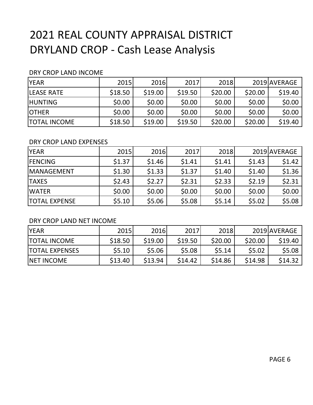## 2021 REAL COUNTY APPRAISAL DISTRICT DRYLAND CROP - Cash Lease Analysis

#### DRY CROP LAND INCOME

| <b>YEAR</b>         | 2015    | 2016    | 2017    | 2018    |         | 2019 AVERAGE |
|---------------------|---------|---------|---------|---------|---------|--------------|
| <b>LEASE RATE</b>   | \$18.50 | \$19.00 | \$19.50 | \$20.00 | \$20.00 | \$19.40      |
| <b>HUNTING</b>      | \$0.00  | \$0.00  | \$0.00  | \$0.00  | \$0.00  | \$0.00       |
| <b>OTHER</b>        | \$0.00  | \$0.00  | \$0.00  | \$0.00  | \$0.00  | \$0.00       |
| <b>TOTAL INCOME</b> | \$18.50 | \$19.00 | \$19.50 | \$20.00 | \$20.00 | \$19.40      |

#### DRY CROP LAND EXPENSES

| <b>YEAR</b>          | 2015   | 2016   | 2017   | 2018   |        | 2019 AVERAGE |
|----------------------|--------|--------|--------|--------|--------|--------------|
| <b>FENCING</b>       | \$1.37 | \$1.46 | \$1.41 | \$1.41 | \$1.43 | \$1.42       |
| MANAGEMENT           | \$1.30 | \$1.33 | \$1.37 | \$1.40 | \$1.40 | \$1.36       |
| <b>TAXES</b>         | \$2.43 | \$2.27 | \$2.31 | \$2.33 | \$2.19 | \$2.31       |
| <b>WATER</b>         | \$0.00 | \$0.00 | \$0.00 | \$0.00 | \$0.00 | \$0.00       |
| <b>TOTAL EXPENSE</b> | \$5.10 | \$5.06 | \$5.08 | \$5.14 | \$5.02 | \$5.08       |

#### DRY CROP LAND NET INCOME

| <b>IYEAR</b>          | 2015    | 2016    | 2017    | 2018    |         | 2019 AVERAGE |
|-----------------------|---------|---------|---------|---------|---------|--------------|
| <b>TOTAL INCOME</b>   | \$18.50 | \$19.00 | \$19.50 | \$20.00 | \$20.00 | \$19.40      |
| <b>TOTAL EXPENSES</b> | \$5.10  | \$5.06  | \$5.08  | \$5.14  | \$5.02  | \$5.08       |
| <b>NET INCOME</b>     | \$13.40 | \$13.94 | \$14.42 | \$14.86 | \$14.98 | \$14.32      |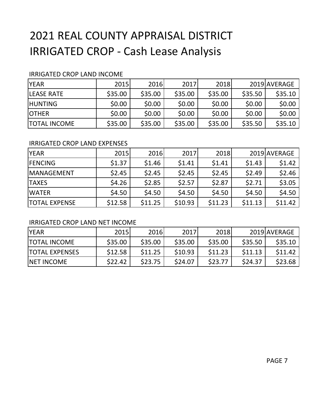## 2021 REAL COUNTY APPRAISAL DISTRICT IRRIGATED CROP - Cash Lease Analysis

#### IRRIGATED CROP LAND INCOME

| <b>YEAR</b>         | 2015    | 2016    | 2017    | 2018    |         | 2019 AVERAGE |
|---------------------|---------|---------|---------|---------|---------|--------------|
| <b>ILEASE RATE</b>  | \$35.00 | \$35.00 | \$35.00 | \$35.00 | \$35.50 | \$35.10      |
| <b>HUNTING</b>      | \$0.00  | \$0.00  | \$0.00  | \$0.00  | \$0.00  | \$0.00       |
| <b>OTHER</b>        | \$0.00  | \$0.00  | \$0.00  | \$0.00  | \$0.00  | \$0.00       |
| <b>TOTAL INCOME</b> | \$35.00 | \$35.00 | \$35.00 | \$35.00 | \$35.50 | \$35.10      |

#### IRRIGATED CROP LAND EXPENSES

| <b>YEAR</b>          | 2015    | 2016    | 2017    | 2018    |         | 2019 AVERAGE |
|----------------------|---------|---------|---------|---------|---------|--------------|
| <b>FENCING</b>       | \$1.37  | \$1.46  | \$1.41  | \$1.41  | \$1.43  | \$1.42       |
| <b>IMANAGEMENT</b>   | \$2.45  | \$2.45  | \$2.45  | \$2.45  | \$2.49  | \$2.46       |
| <b>TAXES</b>         | \$4.26  | \$2.85  | \$2.57  | \$2.87  | \$2.71  | \$3.05       |
| <b>IWATER</b>        | \$4.50  | \$4.50  | \$4.50  | \$4.50  | \$4.50  | \$4.50       |
| <b>TOTAL EXPENSE</b> | \$12.58 | \$11.25 | \$10.93 | \$11.23 | \$11.13 | \$11.42      |

#### IRRIGATED CROP LAND NET INCOME

| <b>YEAR</b>            | 2015    | 2016    | 2017    | 2018    |         | 2019 AVERAGE |
|------------------------|---------|---------|---------|---------|---------|--------------|
| <b>ITOTAL INCOME</b>   | \$35.00 | \$35.00 | \$35.00 | \$35.00 | \$35.50 | \$35.10      |
| <b>ITOTAL EXPENSES</b> | \$12.58 | \$11.25 | \$10.93 | \$11.23 | \$11.13 | \$11.42      |
| <b>INET INCOME</b>     | \$22.42 | \$23.75 | \$24.07 | \$23.77 | \$24.37 | \$23.68      |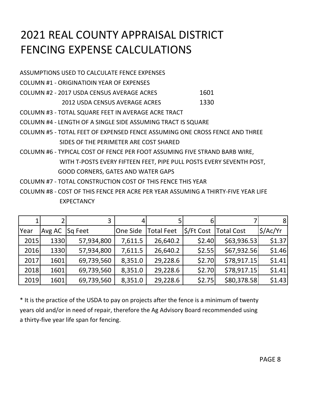## 2021 REAL COUNTY APPRAISAL DISTRICT FENCING EXPENSE CALCULATIONS

ASSUMPTIONS USED TO CALCULATE FENCE EXPENSES COLUMN #1 - ORIGINATIOIN YEAR OF EXPENSES COLUMN #2 - 2017 USDA CENSUS AVERAGE ACRES 1601 2012 USDA CENSUS AVERAGE ACRES 1330 COLUMN #3 - TOTAL SQUARE FEET IN AVERAGE ACRE TRACT COLUMN #4 - LENGTH OF A SINGLE SIDE ASSUMING TRACT IS SQUARE COLUMN #5 - TOTAL FEET OF EXPENSED FENCE ASSUMING ONE CROSS FENCE AND THREE SIDES OF THE PERIMETER ARE COST SHARED COLUMN #6 - TYPICAL COST OF FENCE PER FOOT ASSUMING FIVE STRAND BARB WIRE, WITH T-POSTS EVERY FIFTEEN FEET, PIPE PULL POSTS EVERY SEVENTH POST, GOOD CORNERS, GATES AND WATER GAPS

- COLUMN #7 TOTAL CONSTRUCTION COST OF THIS FENCE THIS YEAR
- COLUMN #8 COST OF THIS FENCE PER ACRE PER YEAR ASSUMING A THIRTY-FIVE YEAR LIFE **EXPECTANCY**

|      |        | 3          | 4        |                   | 6                      |                   | 8 <sup>1</sup>       |
|------|--------|------------|----------|-------------------|------------------------|-------------------|----------------------|
| Year | Avg AC | Sq Feet    | One Side | <b>Total Feet</b> | $\frac{1}{2}$ /Ft Cost | <b>Total Cost</b> | $\frac{1}{2}$ /Ac/Yr |
| 2015 | 1330   | 57,934,800 | 7,611.5  | 26,640.2          | \$2.40                 | \$63,936.53       | \$1.37               |
| 2016 | 1330   | 57,934,800 | 7,611.5  | 26,640.2          | \$2.55                 | \$67,932.56       | \$1.46               |
| 2017 | 1601   | 69,739,560 | 8,351.0  | 29,228.6          | \$2.70                 | \$78,917.15       | \$1.41               |
| 2018 | 1601   | 69,739,560 | 8,351.0  | 29,228.6          | \$2.70                 | \$78,917.15       | \$1.41               |
| 2019 | 1601   | 69,739,560 | 8,351.0  | 29,228.6          | \$2.75                 | \$80,378.58       | \$1.43               |

\* It is the practice of the USDA to pay on projects after the fence is a minimum of twenty years old and/or in need of repair, therefore the Ag Advisory Board recommended using a thirty-five year life span for fencing.